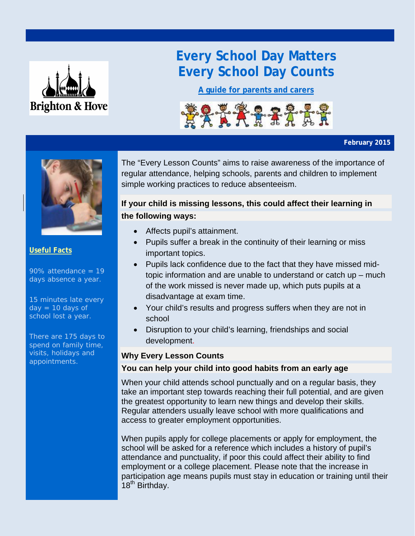

# **Every School Day Matters Every School Day Counts**

**A guide for parents and carers**



#### **February 2015**



### **Useful Facts**

 $90\%$  attendance = 19 days absence a year.

15 minutes late every  $day = 10$  days of school lost a year.

There are 175 days to spend on family time, visits, holidays and appointments.

The "Every Lesson Counts" aims to raise awareness of the importance of regular attendance, helping schools, parents and children to implement simple working practices to reduce absenteeism.

## **If your child is missing lessons, this could affect their learning in the following ways:**

- Affects pupil's attainment.
- Pupils suffer a break in the continuity of their learning or miss important topics.
- Pupils lack confidence due to the fact that they have missed midtopic information and are unable to understand or catch up – much of the work missed is never made up, which puts pupils at a disadvantage at exam time.
- Your child's results and progress suffers when they are not in school
- Disruption to your child's learning, friendships and social development.

### **Why Every Lesson Counts**

### **You can help your child into good habits from an early age**

When your child attends school punctually and on a regular basis, they take an important step towards reaching their full potential, and are given the greatest opportunity to learn new things and develop their skills. Regular attenders usually leave school with more qualifications and access to greater employment opportunities.

When pupils apply for college placements or apply for employment, the school will be asked for a reference which includes a history of pupil's attendance and punctuality, if poor this could affect their ability to find employment or a college placement. Please note that the increase in participation age means pupils must stay in education or training until their 18<sup>th</sup> Birthday.